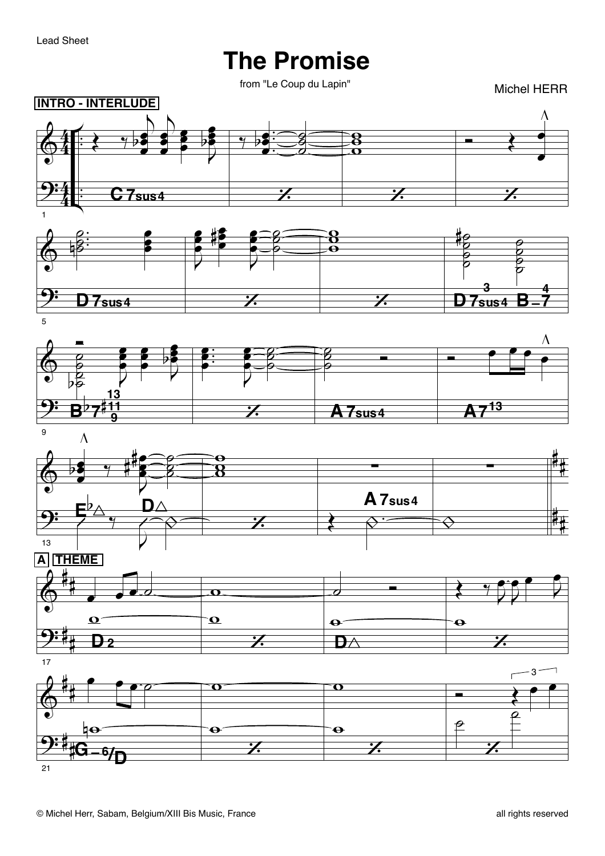**Lead Sheet** 

## **The Promise**

from "Le Coup du Lapin"

Michel HERR

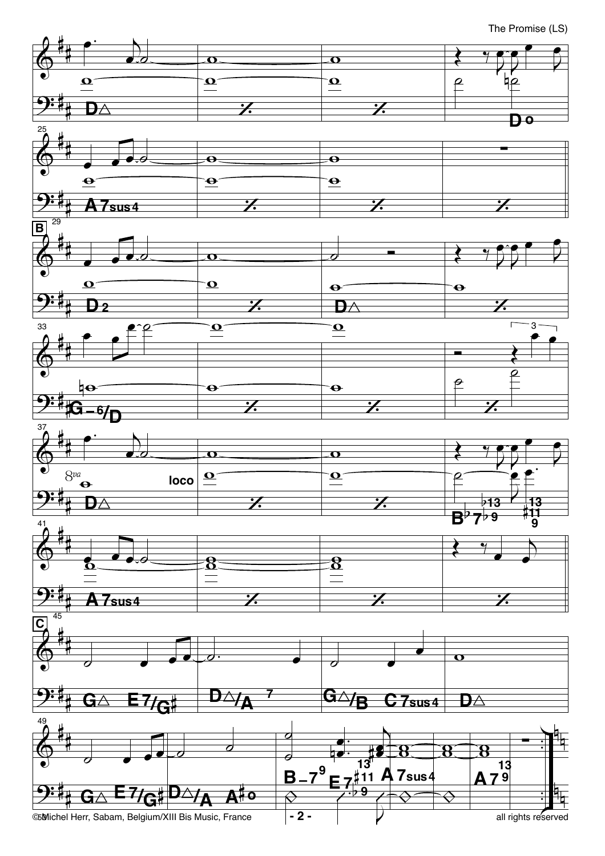